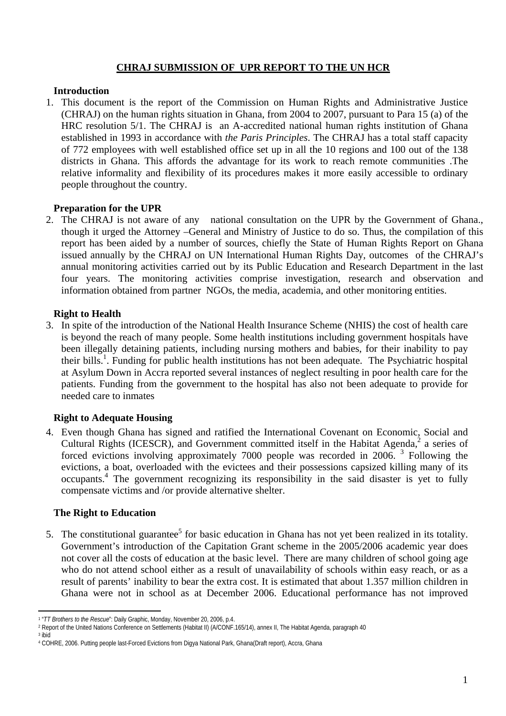# **CHRAJ SUBMISSION OF UPR REPORT TO THE UN HCR**

#### **Introduction**

1. This document is the report of the Commission on Human Rights and Administrative Justice (CHRAJ) on the human rights situation in Ghana, from 2004 to 2007, pursuant to Para 15 (a) of the HRC resolution 5/1. The CHRAJ is an A-accredited national human rights institution of Ghana established in 1993 in accordance with *the Paris Principles*. The CHRAJ has a total staff capacity of 772 employees with well established office set up in all the 10 regions and 100 out of the 138 districts in Ghana. This affords the advantage for its work to reach remote communities .The relative informality and flexibility of its procedures makes it more easily accessible to ordinary people throughout the country.

## **Preparation for the UPR**

2. The CHRAJ is not aware of any national consultation on the UPR by the Government of Ghana., though it urged the Attorney –General and Ministry of Justice to do so. Thus, the compilation of this report has been aided by a number of sources, chiefly the State of Human Rights Report on Ghana issued annually by the CHRAJ on UN International Human Rights Day, outcomes of the CHRAJ's annual monitoring activities carried out by its Public Education and Research Department in the last four years. The monitoring activities comprise investigation, research and observation and information obtained from partner NGOs, the media, academia, and other monitoring entities.

## **Right to Health**

3. In spite of the introduction of the National Health Insurance Scheme (NHIS) the cost of health care is beyond the reach of many people. Some health institutions including government hospitals have been illegally detaining patients, including nursing mothers and babies, for their inability to pay their bills.<sup>1</sup>. Funding for public health institutions has not been adequate. The Psychiatric hospital at Asylum Down in Accra reported several instances of neglect resulting in poor health care for the patients. Funding from the government to the hospital has also not been adequate to provide for needed care to inmates

## **Right to Adequate Housing**

4. Even though Ghana has signed and ratified the International Covenant on Economic, Social and Cultural Rights (ICESCR), and Government committed itself in the Habitat Agenda, $2$  a series of forced evictions involving approximately 7000 people was recorded in 2006.<sup>3</sup> Following the evictions, a boat, overloaded with the evictees and their possessions capsized killing many of its occupants.<sup>4</sup> The government recognizing its responsibility in the said disaster is yet to fully compensate victims and /or provide alternative shelter.

## **The Right to Education**

5. The constitutional guarantee<sup>5</sup> for basic education in Ghana has not yet been realized in its totality. Government's introduction of the Capitation Grant scheme in the 2005/2006 academic year does not cover all the costs of education at the basic level. There are many children of school going age who do not attend school either as a result of unavailability of schools within easy reach, or as a result of parents' inability to bear the extra cost. It is estimated that about 1.357 million children in Ghana were not in school as at December 2006. Educational performance has not improved

<sup>&</sup>lt;sup>1</sup> "TT Brothers to the Rescue": Daily Graphic, Monday, November 20, 2006, p.4.

<sup>&</sup>lt;sup>2</sup> Report of the United Nations Conference on Settlements (Habitat II) (A/CONF.165/14), annex II, The Habitat Agenda, paragraph 40 <sup>3</sup> ibid

<sup>4</sup> COHRE, 2006. Putting people last-Forced Evictions from Digya National Park, Ghana(Draft report), Accra, Ghana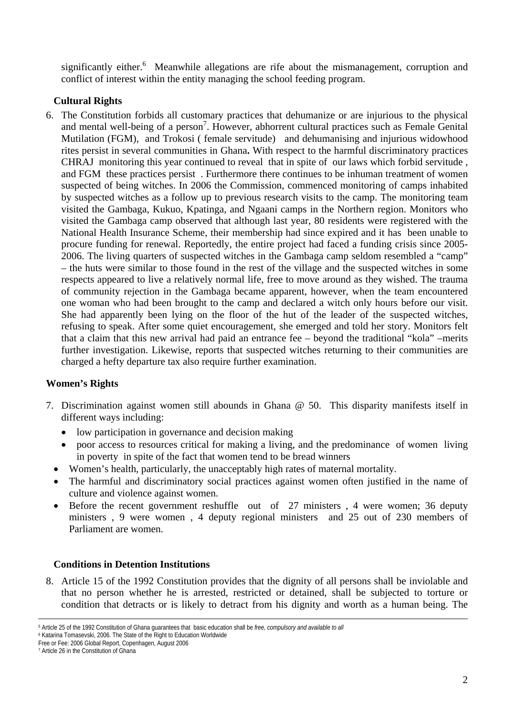significantly either.<sup>6</sup> Meanwhile allegations are rife about the mismanagement, corruption and conflict of interest within the entity managing the school feeding program.

# **Cultural Rights**

6. The Constitution forbids all customary practices that dehumanize or are injurious to the physical and mental well-being of a person<sup>7</sup>. However, abhorrent cultural practices such as Female Genital Mutilation (FGM), and Trokosi ( female servitude) and dehumanising and injurious widowhood rites persist in several communities in Ghana**.** With respect to the harmful discriminatory practices CHRAJ monitoring this year continued to reveal that in spite of our laws which forbid servitude , and FGM these practices persist . Furthermore there continues to be inhuman treatment of women suspected of being witches. In 2006 the Commission, commenced monitoring of camps inhabited by suspected witches as a follow up to previous research visits to the camp. The monitoring team visited the Gambaga, Kukuo, Kpatinga, and Ngaani camps in the Northern region. Monitors who visited the Gambaga camp observed that although last year, 80 residents were registered with the National Health Insurance Scheme, their membership had since expired and it has been unable to procure funding for renewal. Reportedly, the entire project had faced a funding crisis since 2005- 2006. The living quarters of suspected witches in the Gambaga camp seldom resembled a "camp" – the huts were similar to those found in the rest of the village and the suspected witches in some respects appeared to live a relatively normal life, free to move around as they wished. The trauma of community rejection in the Gambaga became apparent, however, when the team encountered one woman who had been brought to the camp and declared a witch only hours before our visit. She had apparently been lying on the floor of the hut of the leader of the suspected witches, refusing to speak. After some quiet encouragement, she emerged and told her story. Monitors felt that a claim that this new arrival had paid an entrance fee – beyond the traditional "kola" –merits further investigation. Likewise, reports that suspected witches returning to their communities are charged a hefty departure tax also require further examination.

## **Women's Rights**

- 7. Discrimination against women still abounds in Ghana @ 50. This disparity manifests itself in different ways including:
	- low participation in governance and decision making
	- poor access to resources critical for making a living, and the predominance of women living in poverty in spite of the fact that women tend to be bread winners
	- Women's health, particularly, the unacceptably high rates of maternal mortality.
	- The harmful and discriminatory social practices against women often justified in the name of culture and violence against women.
	- Before the recent government reshuffle out of 27 ministers, 4 were women; 36 deputy ministers , 9 were women , 4 deputy regional ministers and 25 out of 230 members of Parliament are women.

## **Conditions in Detention Institutions**

8. Article 15 of the 1992 Constitution provides that the dignity of all persons shall be inviolable and that no person whether he is arrested, restricted or detained, shall be subjected to torture or condition that detracts or is likely to detract from his dignity and worth as a human being. The

 $\overline{a}$ 5 Article 25 of the 1992 Constitution of Ghana guarantees that basic education shall be *free, compulsory and available to all*

<sup>6</sup> Katarina Tomasevski, 2006. The State of the Right to Education Worldwide

Free or Fee: 2006 Global Report, Copenhagen, August 2006

<sup>7</sup> Article 26 in the Constitution of Ghana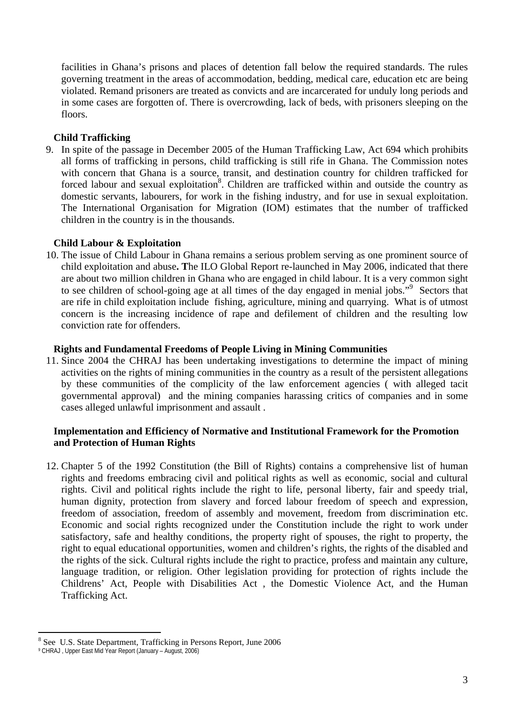facilities in Ghana's prisons and places of detention fall below the required standards. The rules governing treatment in the areas of accommodation, bedding, medical care, education etc are being violated. Remand prisoners are treated as convicts and are incarcerated for unduly long periods and in some cases are forgotten of. There is overcrowding, lack of beds, with prisoners sleeping on the floors.

#### **Child Trafficking**

9. In spite of the passage in December 2005 of the Human Trafficking Law, Act 694 which prohibits all forms of trafficking in persons, child trafficking is still rife in Ghana. The Commission notes with concern that Ghana is a source, transit, and destination country for children trafficked for forced labour and sexual exploitation<sup>8</sup>. Children are trafficked within and outside the country as domestic servants, labourers, for work in the fishing industry, and for use in sexual exploitation. The International Organisation for Migration (IOM) estimates that the number of trafficked children in the country is in the thousands.

## **Child Labour & Exploitation**

10. The issue of Child Labour in Ghana remains a serious problem serving as one prominent source of child exploitation and abuse**. T**he ILO Global Report re-launched in May 2006, indicated that there are about two million children in Ghana who are engaged in child labour. It is a very common sight to see children of school-going age at all times of the day engaged in menial jobs."<sup>9</sup> Sectors that are rife in child exploitation include fishing, agriculture, mining and quarrying. What is of utmost concern is the increasing incidence of rape and defilement of children and the resulting low conviction rate for offenders.

#### **Rights and Fundamental Freedoms of People Living in Mining Communities**

11. Since 2004 the CHRAJ has been undertaking investigations to determine the impact of mining activities on the rights of mining communities in the country as a result of the persistent allegations by these communities of the complicity of the law enforcement agencies ( with alleged tacit governmental approval) and the mining companies harassing critics of companies and in some cases alleged unlawful imprisonment and assault .

## **Implementation and Efficiency of Normative and Institutional Framework for the Promotion and Protection of Human Rights**

12. Chapter 5 of the 1992 Constitution (the Bill of Rights) contains a comprehensive list of human rights and freedoms embracing civil and political rights as well as economic, social and cultural rights. Civil and political rights include the right to life, personal liberty, fair and speedy trial, human dignity, protection from slavery and forced labour freedom of speech and expression, freedom of association, freedom of assembly and movement, freedom from discrimination etc. Economic and social rights recognized under the Constitution include the right to work under satisfactory, safe and healthy conditions, the property right of spouses, the right to property, the right to equal educational opportunities, women and children's rights, the rights of the disabled and the rights of the sick. Cultural rights include the right to practice, profess and maintain any culture, language tradition, or religion. Other legislation providing for protection of rights include the Childrens' Act, People with Disabilities Act , the Domestic Violence Act, and the Human Trafficking Act.

 $\overline{a}$ 

<sup>&</sup>lt;sup>8</sup> See U.S. State Department, Trafficking in Persons Report, June 2006

<sup>9</sup> CHRAJ , Upper East Mid Year Report (January – August, 2006)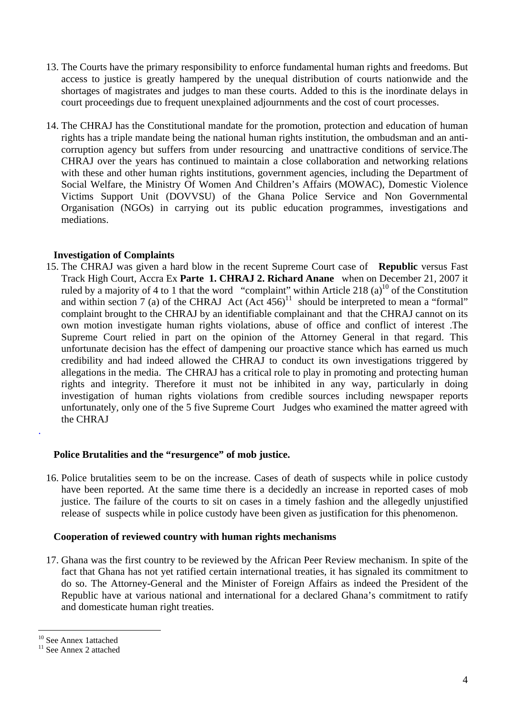- 13. The Courts have the primary responsibility to enforce fundamental human rights and freedoms. But access to justice is greatly hampered by the unequal distribution of courts nationwide and the shortages of magistrates and judges to man these courts. Added to this is the inordinate delays in court proceedings due to frequent unexplained adjournments and the cost of court processes.
- 14. The CHRAJ has the Constitutional mandate for the promotion, protection and education of human rights has a triple mandate being the national human rights institution, the ombudsman and an anticorruption agency but suffers from under resourcing and unattractive conditions of service.The CHRAJ over the years has continued to maintain a close collaboration and networking relations with these and other human rights institutions, government agencies, including the Department of Social Welfare, the Ministry Of Women And Children's Affairs (MOWAC), Domestic Violence Victims Support Unit (DOVVSU) of the Ghana Police Service and Non Governmental Organisation (NGOs) in carrying out its public education programmes, investigations and mediations.

#### **Investigation of Complaints**

15. The CHRAJ was given a hard blow in the recent Supreme Court case of **Republic** versus Fast Track High Court, Accra Ex **Parte 1. CHRAJ 2. Richard Anane** when on December 21, 2007 it ruled by a majority of 4 to 1 that the word "complaint" within Article 218 (a)<sup>10</sup> of the Constitution and within section 7 (a) of the CHRAJ Act  $(Act 456)^{11}$  should be interpreted to mean a "formal" complaint brought to the CHRAJ by an identifiable complainant and that the CHRAJ cannot on its own motion investigate human rights violations, abuse of office and conflict of interest .The Supreme Court relied in part on the opinion of the Attorney General in that regard. This unfortunate decision has the effect of dampening our proactive stance which has earned us much credibility and had indeed allowed the CHRAJ to conduct its own investigations triggered by allegations in the media. The CHRAJ has a critical role to play in promoting and protecting human rights and integrity. Therefore it must not be inhibited in any way, particularly in doing investigation of human rights violations from credible sources including newspaper reports unfortunately, only one of the 5 five Supreme Court Judges who examined the matter agreed with the CHRAJ

## **Police Brutalities and the "resurgence" of mob justice.**

16. Police brutalities seem to be on the increase. Cases of death of suspects while in police custody have been reported. At the same time there is a decidedly an increase in reported cases of mob justice. The failure of the courts to sit on cases in a timely fashion and the allegedly unjustified release of suspects while in police custody have been given as justification for this phenomenon.

#### **Cooperation of reviewed country with human rights mechanisms**

17. Ghana was the first country to be reviewed by the African Peer Review mechanism. In spite of the fact that Ghana has not yet ratified certain international treaties, it has signaled its commitment to do so. The Attorney-General and the Minister of Foreign Affairs as indeed the President of the Republic have at various national and international for a declared Ghana's commitment to ratify and domesticate human right treaties.

.

 $\overline{a}$ 

<sup>&</sup>lt;sup>10</sup> See Annex 1attached

<sup>&</sup>lt;sup>11</sup> See Annex 2 attached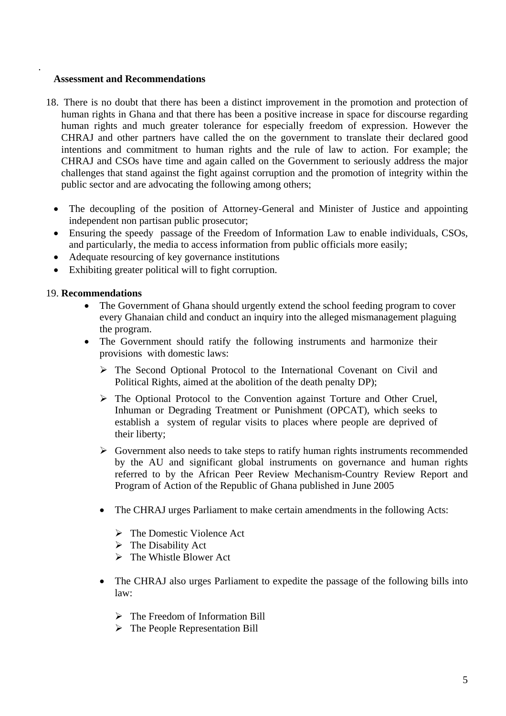#### **Assessment and Recommendations**

.

- 18. There is no doubt that there has been a distinct improvement in the promotion and protection of human rights in Ghana and that there has been a positive increase in space for discourse regarding human rights and much greater tolerance for especially freedom of expression. However the CHRAJ and other partners have called the on the government to translate their declared good intentions and commitment to human rights and the rule of law to action. For example; the CHRAJ and CSOs have time and again called on the Government to seriously address the major challenges that stand against the fight against corruption and the promotion of integrity within the public sector and are advocating the following among others;
	- The decoupling of the position of Attorney-General and Minister of Justice and appointing independent non partisan public prosecutor;
	- Ensuring the speedy passage of the Freedom of Information Law to enable individuals, CSOs, and particularly, the media to access information from public officials more easily;
	- Adequate resourcing of key governance institutions
	- Exhibiting greater political will to fight corruption.

#### 19. **Recommendations**

- The Government of Ghana should urgently extend the school feeding program to cover every Ghanaian child and conduct an inquiry into the alleged mismanagement plaguing the program.
- The Government should ratify the following instruments and harmonize their provisions with domestic laws:
	- ¾ The Second Optional Protocol to the International Covenant on Civil and Political Rights, aimed at the abolition of the death penalty DP);
	- ¾ The Optional Protocol to the Convention against Torture and Other Cruel, Inhuman or Degrading Treatment or Punishment (OPCAT), which seeks to establish a system of regular visits to places where people are deprived of their liberty;
	- $\triangleright$  Government also needs to take steps to ratify human rights instruments recommended by the AU and significant global instruments on governance and human rights referred to by the African Peer Review Mechanism-Country Review Report and Program of Action of the Republic of Ghana published in June 2005
	- The CHRAJ urges Parliament to make certain amendments in the following Acts:
		- ¾ The Domestic Violence Act
		- $\triangleright$  The Disability Act
		- $\triangleright$  The Whistle Blower Act
	- The CHRAJ also urges Parliament to expedite the passage of the following bills into law:
		- $\triangleright$  The Freedom of Information Bill
		- $\triangleright$  The People Representation Bill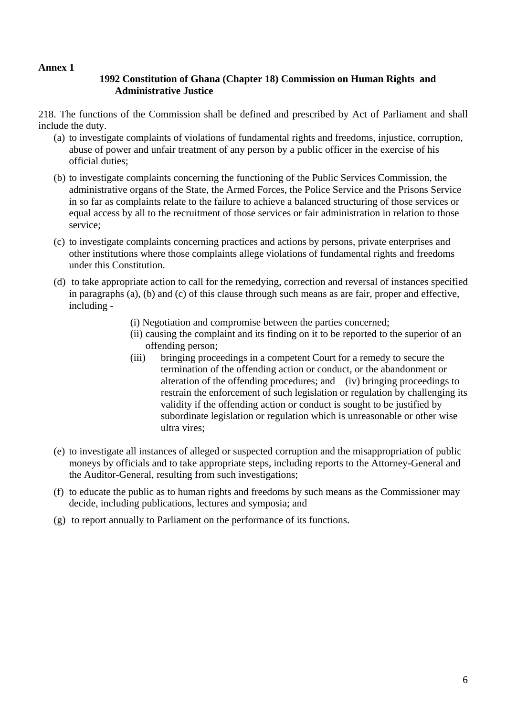## **Annex 1**

## **1992 Constitution of Ghana (Chapter 18) Commission on Human Rights and Administrative Justice**

218. The functions of the Commission shall be defined and prescribed by Act of Parliament and shall include the duty.

- (a) to investigate complaints of violations of fundamental rights and freedoms, injustice, corruption, abuse of power and unfair treatment of any person by a public officer in the exercise of his official duties;
- (b) to investigate complaints concerning the functioning of the Public Services Commission, the administrative organs of the State, the Armed Forces, the Police Service and the Prisons Service in so far as complaints relate to the failure to achieve a balanced structuring of those services or equal access by all to the recruitment of those services or fair administration in relation to those service;
- (c) to investigate complaints concerning practices and actions by persons, private enterprises and other institutions where those complaints allege violations of fundamental rights and freedoms under this Constitution.
- (d) to take appropriate action to call for the remedying, correction and reversal of instances specified in paragraphs (a), (b) and (c) of this clause through such means as are fair, proper and effective, including -
	- (i) Negotiation and compromise between the parties concerned;
	- (ii) causing the complaint and its finding on it to be reported to the superior of an offending person;
	- (iii) bringing proceedings in a competent Court for a remedy to secure the termination of the offending action or conduct, or the abandonment or alteration of the offending procedures; and (iv) bringing proceedings to restrain the enforcement of such legislation or regulation by challenging its validity if the offending action or conduct is sought to be justified by subordinate legislation or regulation which is unreasonable or other wise ultra vires;
- (e) to investigate all instances of alleged or suspected corruption and the misappropriation of public moneys by officials and to take appropriate steps, including reports to the Attorney-General and the Auditor-General, resulting from such investigations;
- (f) to educate the public as to human rights and freedoms by such means as the Commissioner may decide, including publications, lectures and symposia; and
- (g) to report annually to Parliament on the performance of its functions.